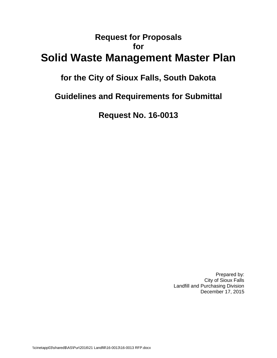# **Request for Proposals for Solid Waste Management Master Plan**

# **for the City of Sioux Falls, South Dakota**

**Guidelines and Requirements for Submittal**

**Request No. 16-0013**

Prepared by: City of Sioux Falls Landfill and Purchasing Division December 17, 2015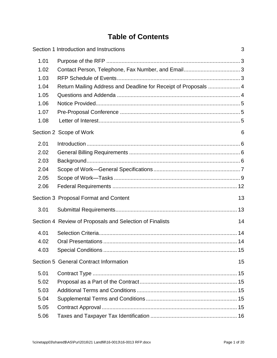# **Table of Contents**

|      | Section 1 Introduction and Instructions                         | 3 |
|------|-----------------------------------------------------------------|---|
| 1.01 |                                                                 |   |
| 1.02 |                                                                 |   |
| 1.03 |                                                                 |   |
| 1.04 | Return Mailing Address and Deadline for Receipt of Proposals  4 |   |
| 1.05 |                                                                 |   |
| 1.06 |                                                                 |   |
| 1.07 |                                                                 |   |
| 1.08 |                                                                 |   |
|      | Section 2 Scope of Work<br>6                                    |   |
| 2.01 |                                                                 |   |
| 2.02 |                                                                 |   |
| 2.03 |                                                                 |   |
| 2.04 |                                                                 |   |
| 2.05 |                                                                 |   |
| 2.06 |                                                                 |   |
|      | 13<br>Section 3 Proposal Format and Content                     |   |
| 3.01 |                                                                 |   |
|      | Section 4 Review of Proposals and Selection of Finalists<br>14  |   |
| 4.01 |                                                                 |   |
| 4.02 |                                                                 |   |
| 4.03 |                                                                 |   |
|      | Section 5 General Contract Information<br>15                    |   |
| 5.01 |                                                                 |   |
| 5.02 |                                                                 |   |
| 5.03 |                                                                 |   |
| 5.04 |                                                                 |   |
| 5.05 |                                                                 |   |
| 5.06 |                                                                 |   |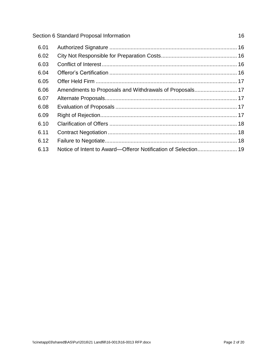| 6.01 |                                                                |  |
|------|----------------------------------------------------------------|--|
| 6.02 |                                                                |  |
| 6.03 |                                                                |  |
| 6.04 |                                                                |  |
| 6.05 |                                                                |  |
| 6.06 | Amendments to Proposals and Withdrawals of Proposals 17        |  |
| 6.07 |                                                                |  |
| 6.08 |                                                                |  |
| 6.09 |                                                                |  |
| 6.10 |                                                                |  |
| 6.11 |                                                                |  |
| 6.12 |                                                                |  |
| 6.13 | Notice of Intent to Award-Offeror Notification of Selection 19 |  |
|      |                                                                |  |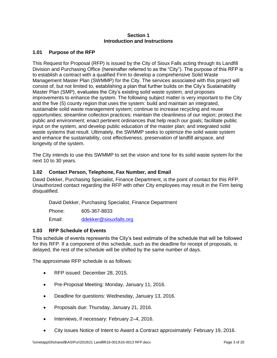#### **Section 1 Introduction and Instructions**

## <span id="page-3-1"></span><span id="page-3-0"></span>**1.01 Purpose of the RFP**

This Request for Proposal (RFP) is issued by the City of Sioux Falls acting through its Landfill Division and Purchasing Office (hereinafter referred to as the "City"). The purpose of this RFP is to establish a contract with a qualified Firm to develop a comprehensive Solid Waste Management Master Plan (SWMMP) for the City. The services associated with this project will consist of, but not limited to, establishing a plan that further builds on the City's Sustainability Master Plan (SMP), evaluates the City's existing solid waste system, and proposes improvements to enhance the system. The following subject matter is very important to the City and the five (5) county region that uses the system: build and maintain an integrated, sustainable solid waste management system; continue to increase recycling and reuse opportunities; streamline collection practices; maintain the cleanliness of our region; protect the public and environment; enact pertinent ordinances that help reach our goals; facilitate public input on the system, and develop public education of the master plan; and integrated solid waste systems that result. Ultimately, the SWMMP seeks to optimize the solid waste system and enhance the sustainability, cost effectiveness, preservation of landfill airspace, and longevity of the system.

The City intends to use this SWMMP to set the vision and tone for its solid waste system for the next 10 to 30 years.

## <span id="page-3-2"></span>**1.02 Contact Person, Telephone, Fax Number, and Email**

David Dekker, Purchasing Specialist, Finance Department, is the point of contact for this RFP. Unauthorized contact regarding the RFP with other City employees may result in the Firm being disqualified.

David Dekker, Purchasing Specialist, Finance Department

Phone: 605-367-8833

Email: [ddekker@siouxfalls.org](mailto:srust@siouxfalls.org)

## <span id="page-3-3"></span>**1.03 RFP Schedule of Events**

This schedule of events represents the City's best estimate of the schedule that will be followed for this RFP. If a component of this schedule, such as the deadline for receipt of proposals, is delayed, the rest of the schedule will be shifted by the same number of days.

The approximate RFP schedule is as follows:

- RFP issued: December 28, 2015.
- Pre-Proposal Meeting: Monday, January 11, 2016.
- Deadline for questions: Wednesday, January 13, 2016.
- Proposals due: Thursday, January 21, 2016.
- Interviews, if necessary: February 2–4, 2016.
- City issues Notice of Intent to Award a Contract approximately: February 19, 2016.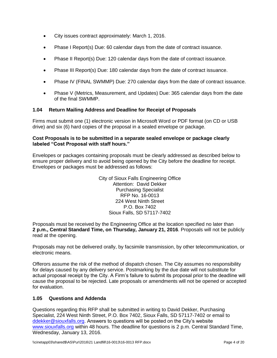- City issues contract approximately: March 1, 2016.
- Phase I Report(s) Due: 60 calendar days from the date of contract issuance.
- Phase II Report(s) Due: 120 calendar days from the date of contract issuance.
- Phase III Report(s) Due: 180 calendar days from the date of contract issuance.
- Phase IV (FINAL SWMMP) Due: 270 calendar days from the date of contract issuance.
- Phase V (Metrics, Measurement, and Updates) Due: 365 calendar days from the date of the final SWMMP.

## <span id="page-4-0"></span>**1.04 Return Mailing Address and Deadline for Receipt of Proposals**

Firms must submit one (1) electronic version in Microsoft Word or PDF format (on CD or USB drive) and six (6) hard copies of the proposal in a sealed envelope or package.

#### **Cost Proposals is to be submitted in a separate sealed envelope or package clearly labeled "Cost Proposal with staff hours."**

Envelopes or packages containing proposals must be clearly addressed as described below to ensure proper delivery and to avoid being opened by the City before the deadline for receipt. Envelopes or packages must be addressed as follows:

> City of Sioux Falls Engineering Office Attention: David Dekker Purchasing Specialist RFP No. 16-0013 224 West Ninth Street P.O. Box 7402 Sioux Falls, SD 57117-7402

Proposals must be received by the Engineering Office at the location specified no later than **2 p.m., Central Standard Time, on Thursday, January 21, 2016**. Proposals will not be publicly read at the opening.

Proposals may not be delivered orally, by facsimile transmission, by other telecommunication, or electronic means.

Offerors assume the risk of the method of dispatch chosen. The City assumes no responsibility for delays caused by any delivery service. Postmarking by the due date will not substitute for actual proposal receipt by the City. A Firm's failure to submit its proposal prior to the deadline will cause the proposal to be rejected. Late proposals or amendments will not be opened or accepted for evaluation.

## <span id="page-4-1"></span>**1.05 Questions and Addenda**

Questions regarding this RFP shall be submitted in writing to David Dekker, Purchasing Specialist, 224 West Ninth Street, P.O. Box 7402, Sioux Falls, SD 57117-7402 or email to ddekker@siouxfalls.org. Answers to questions will be posted on the City's website [www.siouxfalls.org](http://www.siouxfalls.org/) within 48 hours. The deadline for questions is 2 p.m. Central Standard Time, Wednesday, January 13, 2016.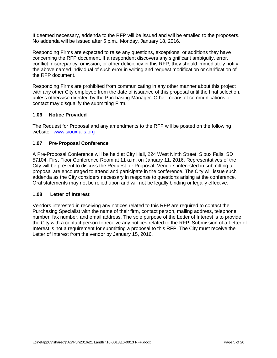If deemed necessary, addenda to the RFP will be issued and will be emailed to the proposers. No addenda will be issued after 5 p.m., Monday, January 18, 2016.

Responding Firms are expected to raise any questions, exceptions, or additions they have concerning the RFP document. If a respondent discovers any significant ambiguity, error, conflict, discrepancy, omission, or other deficiency in this RFP, they should immediately notify the above named individual of such error in writing and request modification or clarification of the RFP document.

Responding Firms are prohibited from communicating in any other manner about this project with any other City employee from the date of issuance of this proposal until the final selection, unless otherwise directed by the Purchasing Manager. Other means of communications or contact may disqualify the submitting Firm.

#### <span id="page-5-0"></span>**1.06 Notice Provided**

The Request for Proposal and any amendments to the RFP will be posted on the following website: [www.siouxfalls.org](http://www.siouxfalls.org/)

#### <span id="page-5-1"></span>**1.07 Pre-Proposal Conference**

A Pre-Proposal Conference will be held at City Hall, 224 West Ninth Street, Sioux Falls, SD 57104, First Floor Conference Room at 11 a.m. on January 11, 2016. Representatives of the City will be present to discuss the Request for Proposal. Vendors interested in submitting a proposal are encouraged to attend and participate in the conference. The City will issue such addenda as the City considers necessary in response to questions arising at the conference. Oral statements may not be relied upon and will not be legally binding or legally effective.

#### <span id="page-5-2"></span>**1.08 Letter of Interest**

Vendors interested in receiving any notices related to this RFP are required to contact the Purchasing Specialist with the name of their firm, contact person, mailing address, telephone number, fax number, and email address. The sole purpose of the Letter of Interest is to provide the City with a contact person to receive any notices related to the RFP. Submission of a Letter of Interest is not a requirement for submitting a proposal to this RFP. The City must receive the Letter of Interest from the vendor by January 15, 2016.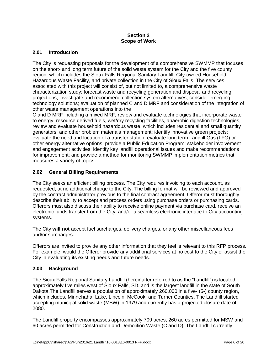#### **Section 2 Scope of Work**

## <span id="page-6-1"></span><span id="page-6-0"></span>**2.01 Introduction**

The City is requesting proposals for the development of a comprehensive SWMMP that focuses on the short- and long term future of the solid waste system for the City and the five county region, which includes the Sioux Falls Regional Sanitary Landfill, City-owned Household Hazardous Waste Facility, and private collection in the City of Sioux Falls The services associated with this project will consist of, but not limited to, a comprehensive waste characterization study; forecast waste and recycling generation and disposal and recycling projections; investigate and recommend collection system alternatives; consider emerging technology solutions; evaluation of planned C and D MRF and consideration of the integration of other waste management operations into the

C and D MRF including a mixed MRF; review and evaluate technologies that incorporate waste to energy, resource derived fuels, wet/dry recycling facilities, anaerobic digestion technologies, review and evaluate household hazardous waste, which includes residential and small quantity generators, and other problem materials management; identify innovative green projects; evaluate the need and location of a transfer station; evaluate long term Landfill Gas (LFG) or other energy alternative options; provide a Public Education Program; stakeholder involvement and engagement activities; identify key landfill operational issues and make recommendations for improvement; and provide a method for monitoring SWMMP implementation metrics that measures a variety of topics.

#### <span id="page-6-2"></span>**2.02 General Billing Requirements**

The City seeks an efficient billing process. The City requires invoicing to each account, as requested, at no additional charge to the City. The billing format will be reviewed and approved by the contract administrator previous to the final contract agreement. Offeror must thoroughly describe their ability to accept and process orders using purchase orders or purchasing cards. Offerors must also discuss their ability to receive online payment via purchase card, receive an electronic funds transfer from the City, and/or a seamless electronic interface to City accounting systems.

The City **will not** accept fuel surcharges, delivery charges, or any other miscellaneous fees and/or surcharges.

Offerors are invited to provide any other information that they feel is relevant to this RFP process. For example, would the Offeror provide any additional services at no cost to the City or assist the City in evaluating its existing needs and future needs.

## <span id="page-6-3"></span>**2.03 Background**

The Sioux Falls Regional Sanitary Landfill (hereinafter referred to as the "Landfill") is located approximately five miles west of Sioux Falls, SD, and is the largest landfill in the state of South Dakota.The Landfill serves a population of approximately 260,000 in a five- (5-) county region, which includes, Minnehaha, Lake, Lincoln, McCook, and Turner Counties. The Landfill started accepting municipal solid waste (MSW) in 1979 and currently has a projected closure date of 2080.

The Landfill property encompasses approximately 709 acres; 260 acres permitted for MSW and 60 acres permitted for Construction and Demolition Waste (C and D). The Landfill currently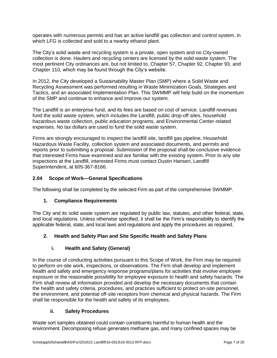operates with numerous permits and has an active landfill gas collection and control system, in which LFG is collected and sold to a nearby ethanol plant.

The City's solid waste and recycling system is a private, open system and no City-owned collection is done. Haulers and recycling centers are licensed by the solid waste system. The most pertinent City ordinances are, but not limited to, Chapter 57, Chapter 92, Chapter 93, and Chapter 110, which may be found through the City's website.

In 2012, the City developed a Sustainability Master Plan (SMP) where a Solid Waste and Recycling Assessment was performed resulting in Waste Minimization Goals, Strategies and Tactics, and an associated Implementation Plan. This SWMMP will help build on the momentum of the SMP and continue to enhance and improve our system.

The Landfill is an enterprise fund, and its fees are based on cost of service. Landfill revenues fund the solid waste system, which includes the Landfill, public drop-off sites, household hazardous waste collection, public education programs, and Environmental Center-related expenses. No tax dollars are used to fund the solid waste system.

Firms are strongly encouraged to inspect the landfill site, landfill gas pipeline, Household Hazardous Waste Facility, collection system and associated documents, and permits and reports prior to submitting a proposal. Submission of the proposal shall be conclusive evidence that interested Firms have examined and are familiar with the existing system. Prior to any site inspections at the Landfill, interested Firms must contact Dustin Hansen, Landfill Superintendent, at 605-367-8166.

## <span id="page-7-0"></span>**2.04 Scope of Work—General Specifications**

The following shall be completed by the selected Firm as part of the comprehensive SWMMP.

## **1. Compliance Requirements**

The City and its solid waste system are regulated by public law, statutes, and other federal, state, and local regulations. Unless otherwise specified, it shall be the Firm's responsibility to identify the applicable federal, state, and local laws and regulations and apply the procedures as required.

# **2. Health and Safety Plan and Site Specific Health and Safety Plans**

## **i. Health and Safety (General)**

In the course of conducting activities pursuant to this Scope of Work, the Firm may be required to perform on-site work, inspections, or observations. The Firm shall develop and implement health and safety and emergency response programs/plans for activities that involve employee exposure or the reasonable possibility for employee exposure to health and safety hazards. The Firm shall review all information provided and develop the necessary documents that contain the health and safety criteria, procedures, and practices sufficient to protect on-site personnel, the environment, and potential off-site receptors from chemical and physical hazards. The Firm shall be responsible for the health and safety of its employees.

## **ii. Safety Procedures**

Waste sort samples obtained could contain constituents harmful to human health and the environment. Decomposing refuse generates methane gas, and many confined spaces may be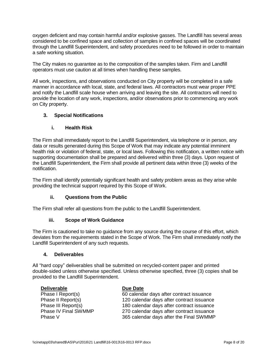oxygen deficient and may contain harmful and/or explosive gasses. The Landfill has several areas considered to be confined space and collection of samples in confined spaces will be coordinated through the Landfill Superintendent, and safety procedures need to be followed in order to maintain a safe working situation.

The City makes no guarantee as to the composition of the samples taken. Firm and Landfill operators must use caution at all times when handling these samples.

All work, inspections, and observations conducted on City property will be completed in a safe manner in accordance with local, state, and federal laws. All contractors must wear proper PPE and notify the Landfill scale house when arriving and leaving the site. All contractors will need to provide the location of any work, inspections, and/or observations prior to commencing any work on City property.

# **3. Special Notifications**

## **i. Health Risk**

The Firm shall immediately report to the Landfill Superintendent, via telephone or in person, any data or results generated during this Scope of Work that may indicate any potential imminent health risk or violation of federal, state, or local laws. Following this notification, a written notice with supporting documentation shall be prepared and delivered within three (3) days. Upon request of the Landfill Superintendent, the Firm shall provide all pertinent data within three (3) weeks of the notification.

The Firm shall identify potentially significant health and safety problem areas as they arise while providing the technical support required by this Scope of Work.

## **ii. Questions from the Public**

The Firm shall refer all questions from the public to the Landfill Superintendent.

## **iii. Scope of Work Guidance**

The Firm is cautioned to take no guidance from any source during the course of this effort, which deviates from the requirements stated in the Scope of Work. The Firm shall immediately notify the Landfill Superintendent of any such requests.

## **4. Deliverables**

All "hard copy" deliverables shall be submitted on recycled-content paper and printed double-sided unless otherwise specified. Unless otherwise specified, three (3) copies shall be provided to the Landfill Superintendent.

| <b>Deliverable</b>   | Due Date                                  |
|----------------------|-------------------------------------------|
| Phase I Report(s)    | 60 calendar days after contract issuance  |
| Phase II Report(s)   | 120 calendar days after contract issuance |
| Phase III Report(s)  | 180 calendar days after contract issuance |
| Phase IV Final SWMMP | 270 calendar days after contract issuance |
| Phase V              | 365 calendar days after the Final SWMMP   |
|                      |                                           |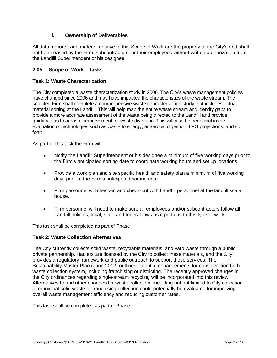## **i. Ownership of Deliverables**

All data, reports, and material relative to this Scope of Work are the property of the City's and shall not be released by the Firm, subcontractors, or their employees without written authorization from the Landfill Superintendent or his designee.

## <span id="page-9-0"></span>**2.05 Scope of Work—Tasks**

#### **Task 1: Waste Characterization**

The City completed a waste characterization study in 2006. The City's waste management policies have changed since 2006 and may have impacted the characteristics of the waste stream. The selected Firm shall complete a comprehensive waste characterization study that includes actual material sorting at the Landfill. This will help map the entire waste stream and identify gaps to provide a more accurate assessment of the waste being directed to the Landfill and provide guidance as to areas of improvement for waste diversion. This will also be beneficial in the evaluation of technologies such as waste to energy, anaerobic digestion, LFG projections, and so forth.

As part of this task the Firm will:

- Notify the Landfill Superintendent or his designee a minimum of five working days prior to the Firm's anticipated sorting date to coordinate working hours and set up locations.
- Provide a work plan and site specific health and safety plan a minimum of five working days prior to the Firm's anticipated sorting date.
- Firm personnel will check-in and check-out with Landfill personnel at the landfill scale house.
- Firm personnel will need to make sure all employees and/or subcontractors follow all Landfill policies, local, state and federal laws as it pertains to this type of work.

This task shall be completed as part of Phase I.

#### **Task 2: Waste Collection Alternatives**

The City currently collects solid waste, recyclable materials, and yard waste through a public private partnership. Haulers are licensed by the City to collect these materials, and the City provides a regulatory framework and public outreach to support these services. The Sustainability Master Plan (June 2012) outlines potential enhancements for consideration to the waste collection system, including franchising or districting. The recently approved changes in the City ordinances regarding single-stream recycling will be incorporated into this review. Alternatives to and other changes for waste collection, including but not limited to City collection of municipal solid waste or franchising collection could potentially be evaluated for improving overall waste management efficiency and reducing customer rates.

This task shall be completed as part of Phase I.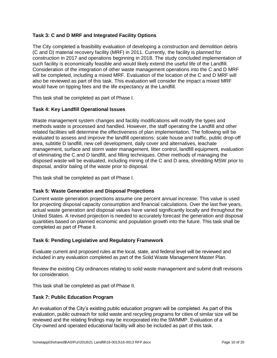## **Task 3: C and D MRF and Integrated Facility Options**

The City completed a feasibility evaluation of developing a construction and demolition debris (C and D) material recovery facility (MRF) in 2011. Currently, the facility is planned for construction in 2017 and operations beginning in 2018. The study concluded implementation of such facility is economically feasible and would likely extend the useful life of the Landfill. Consideration of the integration of other waste management operations into the C and D MRF will be completed, including a mixed MRF. Evaluation of the location of the C and D MRF will also be reviewed as part of this task. This evaluation will consider the impact a mixed MRF would have on tipping fees and the life expectancy at the Landfill.

This task shall be completed as part of Phase I.

## **Task 4: Key Landfill Operational Issues**

Waste management system changes and facility modifications will modify the types and methods waste is processed and handled. However, the staff operating the Landfill and other related facilities will determine the effectiveness of plan implementation. The following will be evaluated to assess and improve the landfill operations: scale house and traffic, public drop-off area, subtitle D landfill, new cell development, daily cover and alternatives, leachate management, surface and storm water management, litter control, landfill equipment, evaluation of eliminating the C and D landfill, and filling techniques. Other methods of managing the disposed waste will be evaluated, including mining of the C and D area, shredding MSW prior to disposal, and/or baling of the waste prior to disposal.

This task shall be completed as part of Phase I.

## **Task 5: Waste Generation and Disposal Projections**

Current waste generation projections assume one percent annual increase. This value is used for projecting disposal capacity consumption and financial calculations. Over the last five years, actual waste generation and disposal values have varied significantly locally and throughout the United States. A revised projection is needed to accurately forecast the generation and disposal quantities based on planned economic and population growth into the future. This task shall be completed as part of Phase II.

## **Task 6: Pending Legislative and Regulatory Framework**

Evaluate current and proposed rules at the local, state, and federal level will be reviewed and included in any evaluation completed as part of the Solid Waste Management Master Plan.

Review the existing City ordinances relating to solid waste management and submit draft revisions for consideration.

This task shall be completed as part of Phase II.

## **Task 7: Public Education Program**

An evaluation of the City's existing public education program will be completed. As part of this evaluation, public outreach for solid waste and recycling programs for cities of similar size will be reviewed and the relating findings may be incorporated into the SWMMP. Evaluation of a City-owned and operated educational facility will also be included as part of this task.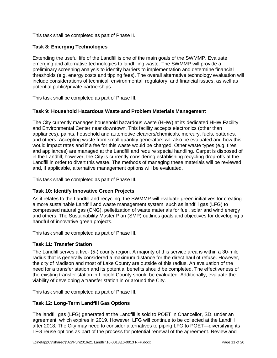This task shall be completed as part of Phase II.

## **Task 8: Emerging Technologies**

Extending the useful life of the Landfill is one of the main goals of the SWMMP. Evaluate emerging and alternative technologies to landfilling waste. The SWMMP will provide a preliminary screening analysis to identify barriers to implementation and determine financial thresholds (e.g. energy costs and tipping fees). The overall alternative technology evaluation will include considerations of technical, environmental, regulatory, and financial issues, as well as potential public/private partnerships.

This task shall be completed as part of Phase III.

#### **Task 9: Household Hazardous Waste and Problem Materials Management**

The City currently manages household hazardous waste (HHW) at its dedicated HHW Facility and Environmental Center near downtown. This facility accepts electronics (other than appliances), paints, household and automotive cleaners/chemicals, mercury, fuels, batteries, and others. Accepting waste from small quantity generators will also be evaluated and how this would impact rates and if a fee for this waste would be charged. Other waste types (e.g. tires and appliances) are managed at the Landfill and require special handling. Carpet is disposed of in the Landfill; however, the City is currently considering establishing recycling drop-offs at the Landfill in order to divert this waste. The methods of managing these materials will be reviewed and, if applicable, alternative management options will be evaluated.

This task shall be completed as part of Phase III.

## **Task 10: Identify Innovative Green Projects**

As it relates to the Landfill and recycling, the SWMMP will evaluate green initiatives for creating a more sustainable Landfill and waste management system, such as landfill gas (LFG) to compressed natural gas (CNG), pelletization of waste materials for fuel, solar and wind energy and others. The Sustainability Master Plan (SMP) outlines goals and objectives for developing a handful of innovative green projects.

This task shall be completed as part of Phase III.

## **Task 11: Transfer Station**

The Landfill serves a five- (5-) county region. A majority of this service area is within a 30-mile radius that is generally considered a maximum distance for the direct haul of refuse. However, the city of Madison and most of Lake County are outside of this radius. An evaluation of the need for a transfer station and its potential benefits should be completed. The effectiveness of the existing transfer station in Lincoln County should be evaluated. Additionally, evaluate the viability of developing a transfer station in or around the City.

This task shall be completed as part of Phase III.

## **Task 12: Long-Term Landfill Gas Options**

The landfill gas (LFG) generated at the Landfill is sold to POET in Chancellor, SD, under an agreement, which expires in 2019. However, LFG will continue to be collected at the Landfill after 2018. The City may need to consider alternatives to piping LFG to POET—diversifying its LFG reuse options as part of the process for potential renewal of the agreement. Review and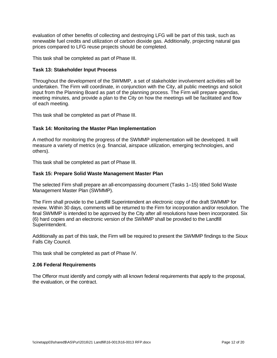evaluation of other benefits of collecting and destroying LFG will be part of this task, such as renewable fuel credits and utilization of carbon dioxide gas. Additionally, projecting natural gas prices compared to LFG reuse projects should be completed.

This task shall be completed as part of Phase III.

#### **Task 13: Stakeholder Input Process**

Throughout the development of the SWMMP, a set of stakeholder involvement activities will be undertaken. The Firm will coordinate, in conjunction with the City, all public meetings and solicit input from the Planning Board as part of the planning process. The Firm will prepare agendas, meeting minutes, and provide a plan to the City on how the meetings will be facilitated and flow of each meeting.

This task shall be completed as part of Phase III.

## **Task 14: Monitoring the Master Plan Implementation**

A method for monitoring the progress of the SWMMP implementation will be developed. It will measure a variety of metrics (e.g. financial, airspace utilization, emerging technologies, and others).

This task shall be completed as part of Phase III.

#### **Task 15: Prepare Solid Waste Management Master Plan**

The selected Firm shall prepare an all-encompassing document (Tasks 1–15) titled Solid Waste Management Master Plan (SWMMP).

The Firm shall provide to the Landfill Superintendent an electronic copy of the draft SWMMP for review. Within 30 days, comments will be returned to the Firm for incorporation and/or resolution. The final SWMMP is intended to be approved by the City after all resolutions have been incorporated. Six (6) hard copies and an electronic version of the SWMMP shall be provided to the Landfill Superintendent.

Additionally as part of this task, the Firm will be required to present the SWMMP findings to the Sioux Falls City Council.

This task shall be completed as part of Phase IV.

#### <span id="page-12-0"></span>**2.06 Federal Requirements**

The Offeror must identify and comply with all known federal requirements that apply to the proposal, the evaluation, or the contract.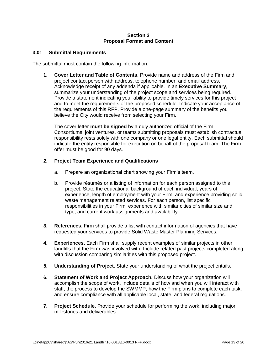#### **Section 3 Proposal Format and Content**

#### <span id="page-13-1"></span><span id="page-13-0"></span>**3.01 Submittal Requirements**

The submittal must contain the following information:

**1. Cover Letter and Table of Contents.** Provide name and address of the Firm and project contact person with address, telephone number, and email address. Acknowledge receipt of any addenda if applicable. In an **Executive Summary**, summarize your understanding of the project scope and services being required. Provide a statement indicating your ability to provide timely services for this project and to meet the requirements of the proposed schedule. Indicate your acceptance of the requirements of this RFP. Provide a one-page summary of the benefits you believe the City would receive from selecting your Firm.

The cover letter **must be signed** by a duly authorized official of the Firm. Consortiums, joint ventures, or teams submitting proposals must establish contractual responsibility rests solely with one company or one legal entity. Each submittal should indicate the entity responsible for execution on behalf of the proposal team. The Firm offer must be good for 90 days.

#### **2. Project Team Experience and Qualifications**

- a. Prepare an organizational chart showing your Firm's team.
- b. Provide résumés or a listing of information for each person assigned to this project. State the educational background of each individual, years of experience, length of employment with your Firm, and experience providing solid waste management related services. For each person, list specific responsibilities in your Firm, experience with similar cities of similar size and type, and current work assignments and availability.
- **3. References.** Firm shall provide a list with contact information of agencies that have requested your services to provide Solid Waste Master Planning Services.
- **4. Experiences.** Each Firm shall supply recent examples of similar projects in other landfills that the Firm was involved with. Include related past projects completed along with discussion comparing similarities with this proposed project.
- **5. Understanding of Project.** State your understanding of what the project entails.
- **6. Statement of Work and Project Approach.** Discuss how your organization will accomplish the scope of work. Include details of how and when you will interact with staff, the process to develop the SWMMP, how the Firm plans to complete each task, and ensure compliance with all applicable local, state, and federal regulations.
- **7. Project Schedule.** Provide your schedule for performing the work, including major milestones and deliverables.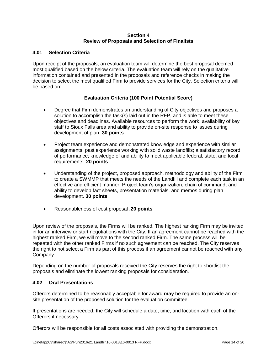#### **Section 4 Review of Proposals and Selection of Finalists**

## <span id="page-14-1"></span><span id="page-14-0"></span>**4.01 Selection Criteria**

Upon receipt of the proposals, an evaluation team will determine the best proposal deemed most qualified based on the below criteria. The evaluation team will rely on the qualitative information contained and presented in the proposals and reference checks in making the decision to select the most qualified Firm to provide services for the City. Selection criteria will be based on:

## **Evaluation Criteria (100 Point Potential Score)**

- Degree that Firm demonstrates an understanding of City objectives and proposes a solution to accomplish the task(s) laid out in the RFP, and is able to meet these objectives and deadlines. Available resources to perform the work, availability of key staff to Sioux Falls area and ability to provide on-site response to issues during development of plan. **30 points**
- Project team experience and demonstrated knowledge and experience with similar assignments; past experience working with solid waste landfills; a satisfactory record of performance; knowledge of and ability to meet applicable federal, state, and local requirements. **20 points**
- Understanding of the project, proposed approach, methodology and ability of the Firm to create a SWMMP that meets the needs of the Landfill and complete each task in an effective and efficient manner. Project team's organization, chain of command, and ability to develop fact sheets, presentation materials, and memos during plan development. **30 points**
- Reasonableness of cost proposal **.20 points**

Upon review of the proposals, the Firms will be ranked. The highest ranking Firm may be invited in for an interview or start negotiations with the City. If an agreement cannot be reached with the highest ranked Firm, we will move to the second ranked Firm. The same process will be repeated with the other ranked Firms if no such agreement can be reached. The City reserves the right to not select a Firm as part of this process if an agreement cannot be reached with any Company.

Depending on the number of proposals received the City reserves the right to shortlist the proposals and eliminate the lowest ranking proposals for consideration.

## <span id="page-14-2"></span>**4.02 Oral Presentations**

Offerors determined to be reasonably acceptable for award **may** be required to provide an onsite presentation of the proposed solution for the evaluation committee.

If presentations are needed, the City will schedule a date, time, and location with each of the Offerors if necessary.

Offerors will be responsible for all costs associated with providing the demonstration.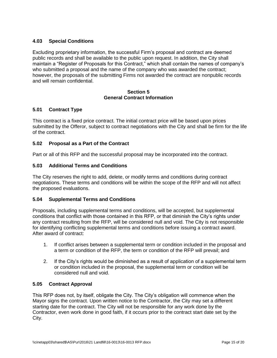## <span id="page-15-0"></span>**4.03 Special Conditions**

Excluding proprietary information, the successful Firm's proposal and contract are deemed public records and shall be available to the public upon request. In addition, the City shall maintain a "Register of Proposals for this Contract," which shall contain the names of company's who submitted a proposal and the name of the company who was awarded the contract; however, the proposals of the submitting Firms not awarded the contract are nonpublic records and will remain confidential.

#### **Section 5 General Contract Information**

## <span id="page-15-2"></span><span id="page-15-1"></span>**5.01 Contract Type**

This contract is a fixed price contract. The initial contract price will be based upon prices submitted by the Offeror, subject to contract negotiations with the City and shall be firm for the life of the contract.

## <span id="page-15-3"></span>**5.02 Proposal as a Part of the Contract**

Part or all of this RFP and the successful proposal may be incorporated into the contract.

## <span id="page-15-4"></span>**5.03 Additional Terms and Conditions**

The City reserves the right to add, delete, or modify terms and conditions during contract negotiations. These terms and conditions will be within the scope of the RFP and will not affect the proposed evaluations.

## <span id="page-15-5"></span>**5.04 Supplemental Terms and Conditions**

Proposals, including supplemental terms and conditions, will be accepted, but supplemental conditions that conflict with those contained in this RFP, or that diminish the City's rights under any contract resulting from the RFP, will be considered null and void. The City is not responsible for identifying conflicting supplemental terms and conditions before issuing a contract award. After award of contract:

- 1. If conflict arises between a supplemental term or condition included in the proposal and a term or condition of the RFP, the term or condition of the RFP will prevail; and
- 2. If the City's rights would be diminished as a result of application of a supplemental term or condition included in the proposal, the supplemental term or condition will be considered null and void.

#### <span id="page-15-6"></span>**5.05 Contract Approval**

This RFP does not, by itself, obligate the City. The City's obligation will commence when the Mayor signs the contract. Upon written notice to the Contractor, the City may set a different starting date for the contract. The City will not be responsible for any work done by the Contractor, even work done in good faith, if it occurs prior to the contract start date set by the City.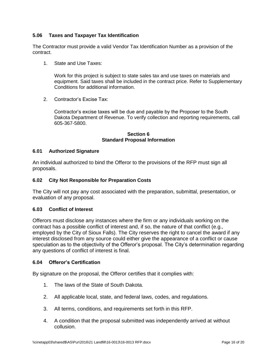## <span id="page-16-0"></span>**5.06 Taxes and Taxpayer Tax Identification**

The Contractor must provide a valid Vendor Tax Identification Number as a provision of the contract.

1. State and Use Taxes:

Work for this project is subject to state sales tax and use taxes on materials and equipment. Said taxes shall be included in the contract price. Refer to Supplementary Conditions for additional information.

2. Contractor's Excise Tax:

Contractor's excise taxes will be due and payable by the Proposer to the South Dakota Department of Revenue. To verify collection and reporting requirements, call 605-367-5800.

#### **Section 6 Standard Proposal Information**

#### <span id="page-16-2"></span><span id="page-16-1"></span>**6.01 Authorized Signature**

An individual authorized to bind the Offeror to the provisions of the RFP must sign all proposals.

#### <span id="page-16-3"></span>**6.02 City Not Responsible for Preparation Costs**

The City will not pay any cost associated with the preparation, submittal, presentation, or evaluation of any proposal.

#### <span id="page-16-4"></span>**6.03 Conflict of Interest**

Offerors must disclose any instances where the firm or any individuals working on the contract has a possible conflict of interest and, if so, the nature of that conflict (e.g., employed by the City of Sioux Falls). The City reserves the right to cancel the award if any interest disclosed from any source could either give the appearance of a conflict or cause speculation as to the objectivity of the Offeror's proposal. The City's determination regarding any questions of conflict of interest is final.

#### <span id="page-16-5"></span>**6.04 Offeror's Certification**

By signature on the proposal, the Offeror certifies that it complies with:

- 1. The laws of the State of South Dakota.
- 2. All applicable local, state, and federal laws, codes, and regulations.
- 3. All terms, conditions, and requirements set forth in this RFP.
- 4. A condition that the proposal submitted was independently arrived at without collusion.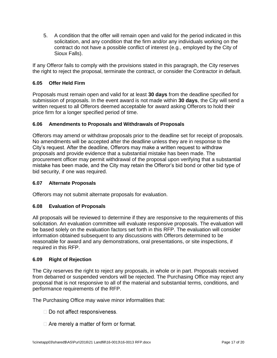5. A condition that the offer will remain open and valid for the period indicated in this solicitation, and any condition that the firm and/or any individuals working on the contract do not have a possible conflict of interest (e.g., employed by the City of Sioux Falls).

If any Offeror fails to comply with the provisions stated in this paragraph, the City reserves the right to reject the proposal, terminate the contract, or consider the Contractor in default.

# <span id="page-17-0"></span>**6.05 Offer Held Firm**

Proposals must remain open and valid for at least **30 days** from the deadline specified for submission of proposals. In the event award is not made within **30 days**, the City will send a written request to all Offerors deemed acceptable for award asking Offerors to hold their price firm for a longer specified period of time.

## <span id="page-17-1"></span>**6.06 Amendments to Proposals and Withdrawals of Proposals**

Offerors may amend or withdraw proposals prior to the deadline set for receipt of proposals. No amendments will be accepted after the deadline unless they are in response to the City's request. After the deadline, Offerors may make a written request to withdraw proposals and provide evidence that a substantial mistake has been made. The procurement officer may permit withdrawal of the proposal upon verifying that a substantial mistake has been made, and the City may retain the Offeror's bid bond or other bid type of bid security, if one was required.

## <span id="page-17-2"></span>**6.07 Alternate Proposals**

Offerors may not submit alternate proposals for evaluation.

# <span id="page-17-3"></span>**6.08 Evaluation of Proposals**

All proposals will be reviewed to determine if they are responsive to the requirements of this solicitation. An evaluation committee will evaluate responsive proposals. The evaluation will be based solely on the evaluation factors set forth in this RFP. The evaluation will consider information obtained subsequent to any discussions with Offerors determined to be reasonable for award and any demonstrations, oral presentations, or site inspections, if required in this RFP.

## <span id="page-17-4"></span>**6.09 Right of Rejection**

The City reserves the right to reject any proposals, in whole or in part. Proposals received from debarred or suspended vendors will be rejected. The Purchasing Office may reject any proposal that is not responsive to all of the material and substantial terms, conditions, and performance requirements of the RFP.

The Purchasing Office may waive minor informalities that:

- $\Box$  Do not affect responsiveness.
- $\Box$  Are merely a matter of form or format.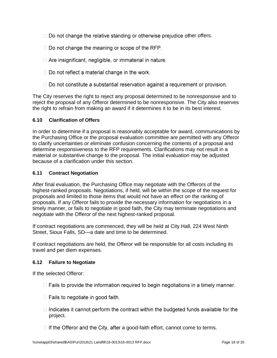- $\Box$  Do not change the relative standing or otherwise prejudice other offers.
- $\Box$  Do not change the meaning or scope of the RFP.
- $\Box$  Are insignificant, negligible, or immaterial in nature.
- $\Box$  Do not reflect a material change in the work.
- $\Box$  Do not constitute a substantial reservation against a requirement or provision.

The City reserves the right to reject any proposal determined to be nonresponsive and to reject the proposal of any Offeror determined to be nonresponsive. The City also reserves the right to refrain from making an award if it determines it to be in its best interest.

#### <span id="page-18-0"></span>**6.10 Clarification of Offers**

In order to determine if a proposal is reasonably acceptable for award, communications by the Purchasing Office or the proposal evaluation committee are permitted with any Offeror to clarify uncertainties or eliminate confusion concerning the contents of a proposal and determine responsiveness to the RFP requirements. Clarifications may not result in a material or substantive change to the proposal. The initial evaluation may be adjusted because of a clarification under this section.

#### <span id="page-18-1"></span>**6.11 Contract Negotiation**

After final evaluation, the Purchasing Office may negotiate with the Offerors of the highest-ranked proposals. Negotiations, if held, will be within the scope of the request for proposals and limited to those items that would not have an effect on the ranking of proposals. If any Offeror fails to provide the necessary information for negotiations in a timely manner, or fails to negotiate in good faith, the City may terminate negotiations and negotiate with the Offeror of the next highest-ranked proposal.

If contract negotiations are commenced, they will be held at City Hall, 224 West Ninth Street, Sioux Falls, SD—a date and time to be determined.

If contract negotiations are held, the Offeror will be responsible for all costs including its travel and per diem expenses.

## <span id="page-18-2"></span>**6.12 Failure to Negotiate**

If the selected Offeror:

- $\Box$  Fails to provide the information required to begin negotiations in a timely manner.
- $\Box$  Fails to negotiate in good faith.
- $\Box$  Indicates it cannot perform the contract within the budgeted funds available for the project.
- $\Box$  If the Offeror and the City, after a good-faith effort, cannot come to terms.